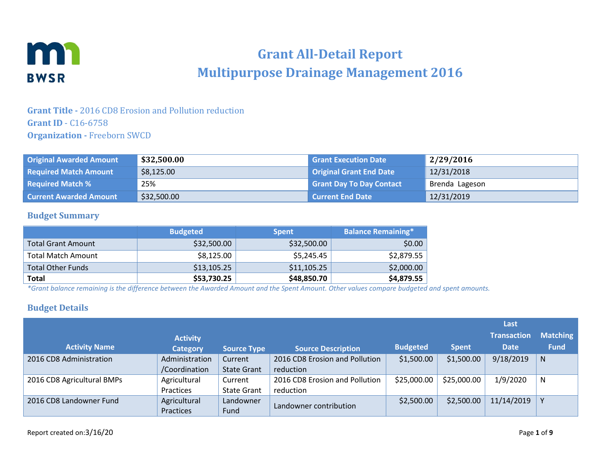

# **Grant All-Detail Report Multipurpose Drainage Management 2016**

### **Grant Title -** 2016 CD8 Erosion and Pollution reduction **Grant ID** - C16-6758 **Organization -** Freeborn SWCD

| <b>Original Awarded Amount</b> | \$32,500.00 | <b>Grant Execution Date</b>     | 2/29/2016      |
|--------------------------------|-------------|---------------------------------|----------------|
| <b>Required Match Amount</b>   | \$8,125.00  | <b>Original Grant End Date</b>  | 12/31/2018     |
| <b>Required Match %</b>        | 25%         | <b>Grant Day To Day Contact</b> | Brenda Lageson |
| <b>Current Awarded Amount</b>  | \$32,500.00 | l Current End Date              | 12/31/2019     |

#### **Budget Summary**

|                           | <b>Budgeted</b> | <b>Spent</b> | <b>Balance Remaining*</b> |
|---------------------------|-----------------|--------------|---------------------------|
| <b>Total Grant Amount</b> | \$32,500.00     | \$32,500.00  | \$0.00                    |
| <b>Total Match Amount</b> | \$8,125.00      | \$5,245.45   | \$2,879.55                |
| <b>Total Other Funds</b>  | \$13,105.25     | \$11,105.25  | \$2,000.00                |
| <b>Total</b>              | \$53,730.25     | \$48,850.70  | \$4,879.55                |

*\*Grant balance remaining is the difference between the Awarded Amount and the Spent Amount. Other values compare budgeted and spent amounts.*

#### **Budget Details**

|                            |                 |                    |                                |                 |              | Last               |                 |
|----------------------------|-----------------|--------------------|--------------------------------|-----------------|--------------|--------------------|-----------------|
|                            | <b>Activity</b> |                    |                                |                 |              | <b>Transaction</b> | <b>Matching</b> |
| <b>Activity Name</b>       | <b>Category</b> | <b>Source Type</b> | <b>Source Description</b>      | <b>Budgeted</b> | <b>Spent</b> | <b>Date</b>        | <b>Fund</b>     |
| 2016 CD8 Administration    | Administration  | Current            | 2016 CD8 Erosion and Pollution | \$1,500.00      | \$1,500.00   | 9/18/2019          | N               |
|                            | /Coordination   | <b>State Grant</b> | reduction                      |                 |              |                    |                 |
| 2016 CD8 Agricultural BMPs | Agricultural    | Current            | 2016 CD8 Erosion and Pollution | \$25,000.00     | \$25,000.00  | 1/9/2020           | N               |
|                            | Practices       | <b>State Grant</b> | reduction                      |                 |              |                    |                 |
| 2016 CD8 Landowner Fund    | Agricultural    | Landowner          |                                | \$2,500.00      | \$2,500.00   | 11/14/2019         |                 |
|                            | Practices       | Fund               | Landowner contribution         |                 |              |                    |                 |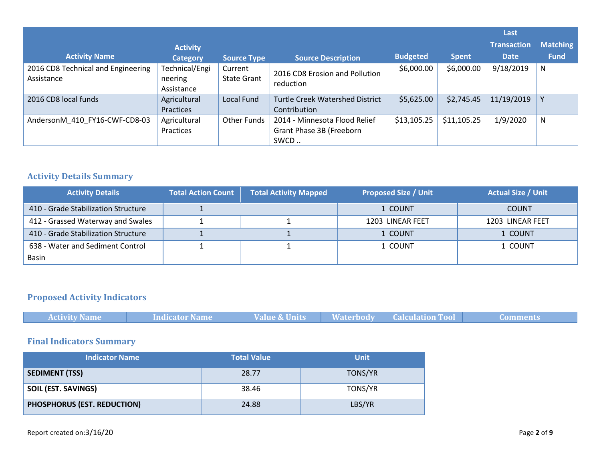|                                                  |                                         |                               |                                                                   |                 |              | Last               |                 |
|--------------------------------------------------|-----------------------------------------|-------------------------------|-------------------------------------------------------------------|-----------------|--------------|--------------------|-----------------|
|                                                  | <b>Activity</b>                         |                               |                                                                   |                 |              | <b>Transaction</b> | <b>Matching</b> |
| <b>Activity Name</b>                             | <b>Category</b>                         | Source Type                   | <b>Source Description</b>                                         | <b>Budgeted</b> | <b>Spent</b> | <b>Date</b>        | <b>Fund</b>     |
| 2016 CD8 Technical and Engineering<br>Assistance | Technical/Engi<br>neering<br>Assistance | Current<br><b>State Grant</b> | 2016 CD8 Erosion and Pollution<br>reduction                       | \$6,000.00      | \$6,000.00   | 9/18/2019          | N               |
| 2016 CD8 local funds                             | Agricultural<br>Practices               | Local Fund                    | <b>Turtle Creek Watershed District</b><br>Contribution            | \$5,625.00      | \$2,745.45   | 11/19/2019         |                 |
| AndersonM 410 FY16-CWF-CD8-03                    | Agricultural<br>Practices               | <b>Other Funds</b>            | 2014 - Minnesota Flood Relief<br>Grant Phase 3B (Freeborn<br>SWCD | \$13,105.25     | \$11,105.25  | 1/9/2020           | N               |

### **Activity Details Summary**

| <b>Activity Details</b>             | <b>Total Action Count</b> | <b>Total Activity Mapped</b> | <b>Proposed Size / Unit</b> | <b>Actual Size / Unit</b> |
|-------------------------------------|---------------------------|------------------------------|-----------------------------|---------------------------|
| 410 - Grade Stabilization Structure |                           |                              | 1 COUNT                     | <b>COUNT</b>              |
| 412 - Grassed Waterway and Swales   |                           |                              | 1203 LINEAR FEET            | 1203 LINEAR FEET          |
| 410 - Grade Stabilization Structure |                           |                              | 1 COUNT                     | 1 COUNT                   |
| 638 - Water and Sediment Control    |                           |                              | 1 COUNT                     | 1 COUNT                   |
| Basin                               |                           |                              |                             |                           |

# **Proposed Activity Indicators**

| <b>Activity Name</b> | Indicator Name | Value & Units | <b>Waterbody</b> | <b>Calculation Tool</b> |  |
|----------------------|----------------|---------------|------------------|-------------------------|--|

# **Final Indicators Summary**

| <b>Indicator Name</b>       | <b>Total Value</b> | <b>Unit</b>    |
|-----------------------------|--------------------|----------------|
| <b>SEDIMENT (TSS)</b>       | 28.77              | <b>TONS/YR</b> |
| <b>SOIL (EST. SAVINGS)</b>  | 38.46              | TONS/YR        |
| PHOSPHORUS (EST. REDUCTION) | 24.88              | LBS/YR         |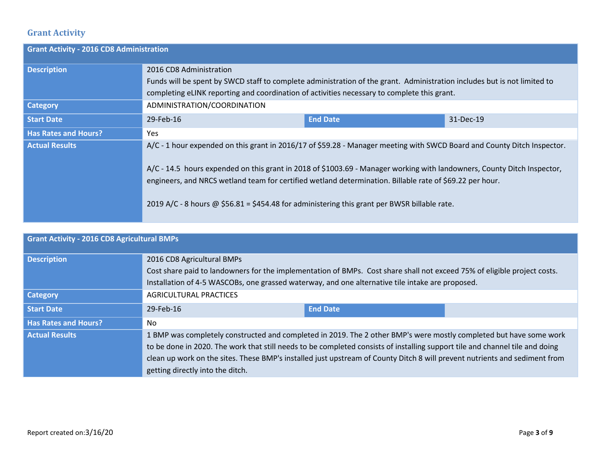## **Grant Activity**

| <b>Grant Activity - 2016 CD8 Administration</b> |                                                                                                                                                                                                                                                                                                                                                                                                                                                                |                 |           |  |  |  |
|-------------------------------------------------|----------------------------------------------------------------------------------------------------------------------------------------------------------------------------------------------------------------------------------------------------------------------------------------------------------------------------------------------------------------------------------------------------------------------------------------------------------------|-----------------|-----------|--|--|--|
| <b>Description</b>                              | 2016 CD8 Administration                                                                                                                                                                                                                                                                                                                                                                                                                                        |                 |           |  |  |  |
|                                                 | Funds will be spent by SWCD staff to complete administration of the grant. Administration includes but is not limited to<br>completing eLINK reporting and coordination of activities necessary to complete this grant.                                                                                                                                                                                                                                        |                 |           |  |  |  |
| <b>Category</b>                                 | ADMINISTRATION/COORDINATION                                                                                                                                                                                                                                                                                                                                                                                                                                    |                 |           |  |  |  |
| <b>Start Date</b>                               | 29-Feb-16                                                                                                                                                                                                                                                                                                                                                                                                                                                      | <b>End Date</b> | 31-Dec-19 |  |  |  |
| <b>Has Rates and Hours?</b>                     | Yes                                                                                                                                                                                                                                                                                                                                                                                                                                                            |                 |           |  |  |  |
| <b>Actual Results</b>                           | A/C - 1 hour expended on this grant in 2016/17 of \$59.28 - Manager meeting with SWCD Board and County Ditch Inspector.<br>A/C - 14.5 hours expended on this grant in 2018 of \$1003.69 - Manager working with landowners, County Ditch Inspector,<br>engineers, and NRCS wetland team for certified wetland determination. Billable rate of \$69.22 per hour.<br>2019 A/C - 8 hours @ \$56.81 = \$454.48 for administering this grant per BWSR billable rate. |                 |           |  |  |  |

| <b>Grant Activity - 2016 CD8 Agricultural BMPs</b> |                                                                                                                                                                                                                                                                                                                                                                                                                      |                 |  |  |  |
|----------------------------------------------------|----------------------------------------------------------------------------------------------------------------------------------------------------------------------------------------------------------------------------------------------------------------------------------------------------------------------------------------------------------------------------------------------------------------------|-----------------|--|--|--|
| <b>Description</b>                                 | 2016 CD8 Agricultural BMPs<br>Cost share paid to landowners for the implementation of BMPs. Cost share shall not exceed 75% of eligible project costs.<br>Installation of 4-5 WASCOBs, one grassed waterway, and one alternative tile intake are proposed.                                                                                                                                                           |                 |  |  |  |
| <b>Category</b>                                    | <b>AGRICULTURAL PRACTICES</b>                                                                                                                                                                                                                                                                                                                                                                                        |                 |  |  |  |
| <b>Start Date</b>                                  | 29-Feb-16                                                                                                                                                                                                                                                                                                                                                                                                            | <b>End Date</b> |  |  |  |
| <b>Has Rates and Hours?</b>                        | No                                                                                                                                                                                                                                                                                                                                                                                                                   |                 |  |  |  |
| <b>Actual Results</b>                              | 1 BMP was completely constructed and completed in 2019. The 2 other BMP's were mostly completed but have some work<br>to be done in 2020. The work that still needs to be completed consists of installing support tile and channel tile and doing<br>clean up work on the sites. These BMP's installed just upstream of County Ditch 8 will prevent nutrients and sediment from<br>getting directly into the ditch. |                 |  |  |  |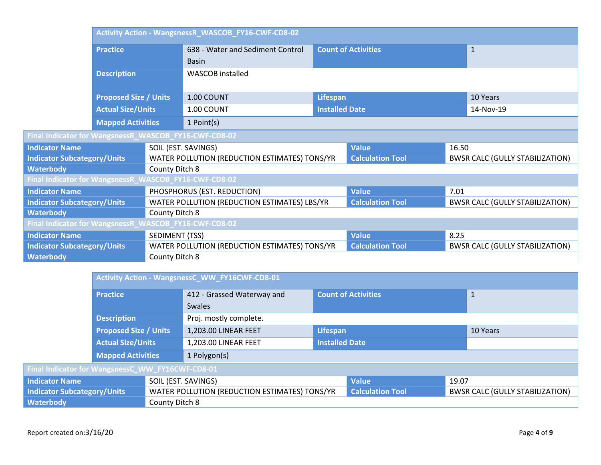|                                                       |                              | Activity Action - WangsnessR_WASCOB_FY16-CWF-CD8-02 |                                               |                       |                            |       |                                        |
|-------------------------------------------------------|------------------------------|-----------------------------------------------------|-----------------------------------------------|-----------------------|----------------------------|-------|----------------------------------------|
|                                                       | <b>Practice</b>              |                                                     | 638 - Water and Sediment Control              |                       | <b>Count of Activities</b> |       | $\mathbf{1}$                           |
|                                                       |                              |                                                     | <b>Basin</b>                                  |                       |                            |       |                                        |
|                                                       | <b>Description</b>           |                                                     | <b>WASCOB</b> installed                       |                       |                            |       |                                        |
|                                                       | <b>Proposed Size / Units</b> |                                                     | 1.00 COUNT                                    | <b>Lifespan</b>       |                            |       | 10 Years                               |
|                                                       | <b>Actual Size/Units</b>     |                                                     | 1.00 COUNT                                    | <b>Installed Date</b> |                            |       | 14-Nov-19                              |
|                                                       | <b>Mapped Activities</b>     | 1 Point(s)                                          |                                               |                       |                            |       |                                        |
| Final Indicator for WangsnessR_WASCOB_FY16-CWF-CD8-02 |                              |                                                     |                                               |                       |                            |       |                                        |
| <b>Indicator Name</b>                                 |                              |                                                     | SOIL (EST. SAVINGS)                           |                       | <b>Value</b>               | 16.50 |                                        |
| <b>Indicator Subcategory/Units</b>                    |                              |                                                     | WATER POLLUTION (REDUCTION ESTIMATES) TONS/YR |                       | <b>Calculation Tool</b>    |       | <b>BWSR CALC (GULLY STABILIZATION)</b> |
| <b>Waterbody</b>                                      |                              | County Ditch 8                                      |                                               |                       |                            |       |                                        |
| Final Indicator for WangsnessR_WASCOB_FY16-CWF-CD8-02 |                              |                                                     |                                               |                       |                            |       |                                        |
| <b>Indicator Name</b>                                 |                              |                                                     | PHOSPHORUS (EST. REDUCTION)                   |                       | <b>Value</b>               | 7.01  |                                        |
| <b>Indicator Subcategory/Units</b>                    |                              |                                                     | WATER POLLUTION (REDUCTION ESTIMATES) LBS/YR  |                       | <b>Calculation Tool</b>    |       | <b>BWSR CALC (GULLY STABILIZATION)</b> |
| <b>Waterbody</b>                                      |                              | County Ditch 8                                      |                                               |                       |                            |       |                                        |
| Final Indicator for WangsnessR_WASCOB_FY16-CWF-CD8-02 |                              |                                                     |                                               |                       |                            |       |                                        |
| <b>Indicator Name</b>                                 |                              | SEDIMENT (TSS)                                      |                                               |                       | <b>Value</b>               | 8.25  |                                        |
| <b>Indicator Subcategory/Units</b>                    |                              |                                                     | WATER POLLUTION (REDUCTION ESTIMATES) TONS/YR |                       | <b>Calculation Tool</b>    |       | <b>BWSR CALC (GULLY STABILIZATION)</b> |
| <b>Waterbody</b>                                      |                              | County Ditch 8                                      |                                               |                       |                            |       |                                        |

|                                                  | Activity Action - WangsnessC_WW_FY16CWF-CD8-01 |  |                                               |                            |                         |              |                                        |
|--------------------------------------------------|------------------------------------------------|--|-----------------------------------------------|----------------------------|-------------------------|--------------|----------------------------------------|
|                                                  | <b>Practice</b>                                |  | 412 - Grassed Waterway and                    | <b>Count of Activities</b> |                         | $\mathbf{1}$ |                                        |
|                                                  |                                                |  | Swales                                        |                            |                         |              |                                        |
|                                                  | <b>Description</b>                             |  | Proj. mostly complete.                        |                            |                         |              |                                        |
|                                                  | <b>Proposed Size / Units</b>                   |  | 1,203.00 LINEAR FEET                          | Lifespan                   |                         | 10 Years     |                                        |
|                                                  | <b>Actual Size/Units</b>                       |  | 1,203.00 LINEAR FEET                          | <b>Installed Date</b>      |                         |              |                                        |
|                                                  | <b>Mapped Activities</b>                       |  | 1 Polygon(s)                                  |                            |                         |              |                                        |
| Final Indicator for WangsnessC_WW_FY16CWF-CD8-01 |                                                |  |                                               |                            |                         |              |                                        |
| <b>Indicator Name</b>                            |                                                |  | SOIL (EST. SAVINGS)                           |                            | <b>Value</b>            | 19.07        |                                        |
| <b>Indicator Subcategory/Units</b>               |                                                |  | WATER POLLUTION (REDUCTION ESTIMATES) TONS/YR |                            | <b>Calculation Tool</b> |              | <b>BWSR CALC (GULLY STABILIZATION)</b> |
| <b>Waterbody</b><br>County Ditch 8               |                                                |  |                                               |                            |                         |              |                                        |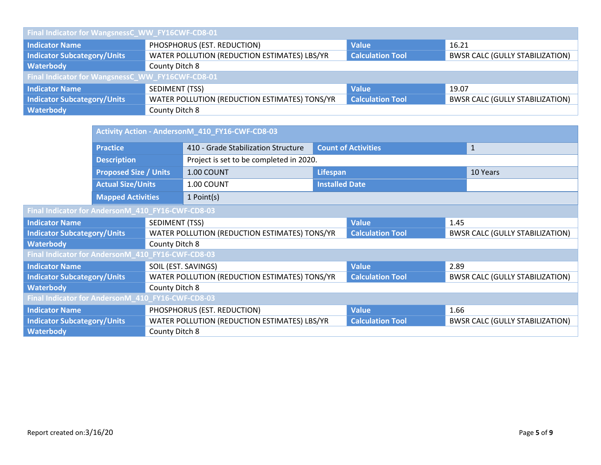| Final Indicator for WangsnessC_WW_FY16CWF-CD8-01 |                                                                                                                   |                         |                                        |  |  |  |
|--------------------------------------------------|-------------------------------------------------------------------------------------------------------------------|-------------------------|----------------------------------------|--|--|--|
| <b>Indicator Name</b>                            | PHOSPHORUS (EST. REDUCTION)<br><b>Value</b><br>16.21                                                              |                         |                                        |  |  |  |
| <b>Indicator Subcategory/Units</b>               | WATER POLLUTION (REDUCTION ESTIMATES) LBS/YR<br><b>Calculation Tool</b><br><b>BWSR CALC (GULLY STABILIZATION)</b> |                         |                                        |  |  |  |
| Waterbody                                        | County Ditch 8                                                                                                    |                         |                                        |  |  |  |
| Final Indicator for WangsnessC_WW_FY16CWF-CD8-01 |                                                                                                                   |                         |                                        |  |  |  |
| <b>Indicator Name</b>                            | SEDIMENT (TSS)                                                                                                    | <b>Value</b>            | 19.07                                  |  |  |  |
| <b>Indicator Subcategory/Units</b>               | WATER POLLUTION (REDUCTION ESTIMATES) TONS/YR                                                                     | <b>Calculation Tool</b> | <b>BWSR CALC (GULLY STABILIZATION)</b> |  |  |  |
| Waterbody                                        | County Ditch 8                                                                                                    |                         |                                        |  |  |  |

|                                                   |                                                          |                                               | Activity Action - AndersonM_410_FY16-CWF-CD8-03 |                            |                         |                                        |              |
|---------------------------------------------------|----------------------------------------------------------|-----------------------------------------------|-------------------------------------------------|----------------------------|-------------------------|----------------------------------------|--------------|
|                                                   | <b>Practice</b>                                          |                                               | 410 - Grade Stabilization Structure             | <b>Count of Activities</b> |                         |                                        | $\mathbf{1}$ |
|                                                   | <b>Description</b>                                       |                                               | Project is set to be completed in 2020.         |                            |                         |                                        |              |
|                                                   | <b>Proposed Size / Units</b><br><b>Actual Size/Units</b> |                                               | 1.00 COUNT                                      | Lifespan                   |                         | 10 Years                               |              |
|                                                   |                                                          |                                               | 1.00 COUNT                                      | <b>Installed Date</b>      |                         |                                        |              |
|                                                   | <b>Mapped Activities</b>                                 |                                               | $1$ Point(s)                                    |                            |                         |                                        |              |
| Final Indicator for AndersonM_410_FY16-CWF-CD8-03 |                                                          |                                               |                                                 |                            |                         |                                        |              |
| <b>Indicator Name</b>                             |                                                          | SEDIMENT (TSS)                                |                                                 | <b>Value</b>               | 1.45                    |                                        |              |
| <b>Indicator Subcategory/Units</b>                |                                                          | WATER POLLUTION (REDUCTION ESTIMATES) TONS/YR |                                                 |                            | <b>Calculation Tool</b> | <b>BWSR CALC (GULLY STABILIZATION)</b> |              |
| <b>Waterbody</b>                                  |                                                          |                                               | County Ditch 8                                  |                            |                         |                                        |              |
| Final Indicator for AndersonM_410_FY16-CWF-CD8-03 |                                                          |                                               |                                                 |                            |                         |                                        |              |
| <b>Indicator Name</b>                             |                                                          |                                               | SOIL (EST. SAVINGS)                             |                            | <b>Value</b>            | 2.89                                   |              |
| <b>Indicator Subcategory/Units</b>                |                                                          |                                               | WATER POLLUTION (REDUCTION ESTIMATES) TONS/YR   |                            | <b>Calculation Tool</b> | <b>BWSR CALC (GULLY STABILIZATION)</b> |              |
| <b>Waterbody</b>                                  |                                                          | County Ditch 8                                |                                                 |                            |                         |                                        |              |
| Final Indicator for AndersonM_410_FY16-CWF-CD8-03 |                                                          |                                               |                                                 |                            |                         |                                        |              |
| <b>Indicator Name</b>                             |                                                          |                                               | PHOSPHORUS (EST. REDUCTION)                     |                            | <b>Value</b>            | 1.66                                   |              |
| <b>Indicator Subcategory/Units</b>                |                                                          |                                               | WATER POLLUTION (REDUCTION ESTIMATES) LBS/YR    |                            | <b>Calculation Tool</b> | <b>BWSR CALC (GULLY STABILIZATION)</b> |              |
| <b>Waterbody</b>                                  |                                                          | County Ditch 8                                |                                                 |                            |                         |                                        |              |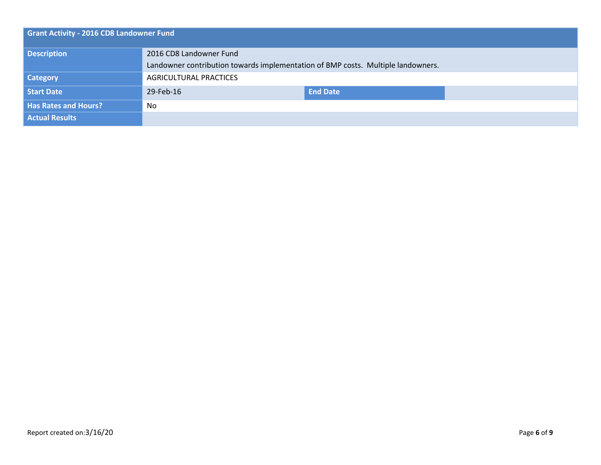| <b>Grant Activity - 2016 CD8 Landowner Fund</b> |                                                                                  |                 |  |  |
|-------------------------------------------------|----------------------------------------------------------------------------------|-----------------|--|--|
| <b>Description</b>                              | 2016 CD8 Landowner Fund                                                          |                 |  |  |
|                                                 | Landowner contribution towards implementation of BMP costs. Multiple landowners. |                 |  |  |
| <b>Category</b>                                 | AGRICULTURAL PRACTICES                                                           |                 |  |  |
| Start Date                                      | 29-Feb-16                                                                        | <b>End Date</b> |  |  |
| <b>Has Rates and Hours?</b>                     | No                                                                               |                 |  |  |
| <b>Actual Results</b>                           |                                                                                  |                 |  |  |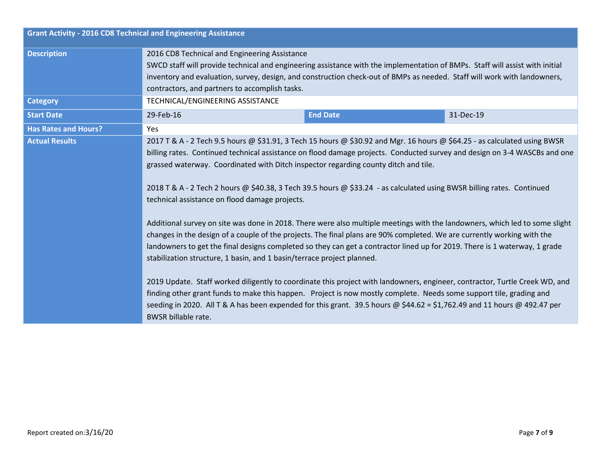| <b>Grant Activity - 2016 CD8 Technical and Engineering Assistance</b> |                                                                                                                                                                                                                                                                                                                                                                                                                                                                                                                                                                                                                                                                                                                                                                                                                                                                                                                                                                                                                                                                                                                                                                                                                                                                                                                                                                                                             |  |  |  |
|-----------------------------------------------------------------------|-------------------------------------------------------------------------------------------------------------------------------------------------------------------------------------------------------------------------------------------------------------------------------------------------------------------------------------------------------------------------------------------------------------------------------------------------------------------------------------------------------------------------------------------------------------------------------------------------------------------------------------------------------------------------------------------------------------------------------------------------------------------------------------------------------------------------------------------------------------------------------------------------------------------------------------------------------------------------------------------------------------------------------------------------------------------------------------------------------------------------------------------------------------------------------------------------------------------------------------------------------------------------------------------------------------------------------------------------------------------------------------------------------------|--|--|--|
| <b>Description</b>                                                    | 2016 CD8 Technical and Engineering Assistance<br>SWCD staff will provide technical and engineering assistance with the implementation of BMPs. Staff will assist with initial<br>inventory and evaluation, survey, design, and construction check-out of BMPs as needed. Staff will work with landowners,<br>contractors, and partners to accomplish tasks.                                                                                                                                                                                                                                                                                                                                                                                                                                                                                                                                                                                                                                                                                                                                                                                                                                                                                                                                                                                                                                                 |  |  |  |
| <b>Category</b>                                                       | TECHNICAL/ENGINEERING ASSISTANCE                                                                                                                                                                                                                                                                                                                                                                                                                                                                                                                                                                                                                                                                                                                                                                                                                                                                                                                                                                                                                                                                                                                                                                                                                                                                                                                                                                            |  |  |  |
| <b>Start Date</b>                                                     | <b>End Date</b><br>31-Dec-19<br>29-Feb-16                                                                                                                                                                                                                                                                                                                                                                                                                                                                                                                                                                                                                                                                                                                                                                                                                                                                                                                                                                                                                                                                                                                                                                                                                                                                                                                                                                   |  |  |  |
| <b>Has Rates and Hours?</b>                                           | Yes                                                                                                                                                                                                                                                                                                                                                                                                                                                                                                                                                                                                                                                                                                                                                                                                                                                                                                                                                                                                                                                                                                                                                                                                                                                                                                                                                                                                         |  |  |  |
| <b>Actual Results</b>                                                 | 2017 T & A - 2 Tech 9.5 hours @ \$31.91, 3 Tech 15 hours @ \$30.92 and Mgr. 16 hours @ \$64.25 - as calculated using BWSR<br>billing rates. Continued technical assistance on flood damage projects. Conducted survey and design on 3-4 WASCBs and one<br>grassed waterway. Coordinated with Ditch inspector regarding county ditch and tile.<br>2018 T & A - 2 Tech 2 hours @ \$40.38, 3 Tech 39.5 hours @ \$33.24 - as calculated using BWSR billing rates. Continued<br>technical assistance on flood damage projects.<br>Additional survey on site was done in 2018. There were also multiple meetings with the landowners, which led to some slight<br>changes in the design of a couple of the projects. The final plans are 90% completed. We are currently working with the<br>landowners to get the final designs completed so they can get a contractor lined up for 2019. There is 1 waterway, 1 grade<br>stabilization structure, 1 basin, and 1 basin/terrace project planned.<br>2019 Update. Staff worked diligently to coordinate this project with landowners, engineer, contractor, Turtle Creek WD, and<br>finding other grant funds to make this happen. Project is now mostly complete. Needs some support tile, grading and<br>seeding in 2020. All T & A has been expended for this grant. 39.5 hours @ \$44.62 = \$1,762.49 and 11 hours @ 492.47 per<br><b>BWSR billable rate.</b> |  |  |  |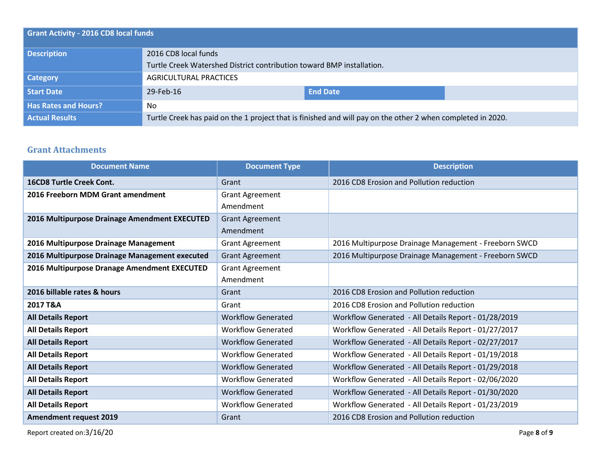| <b>Grant Activity - 2016 CD8 local funds</b> |                                                                                                             |                 |  |  |
|----------------------------------------------|-------------------------------------------------------------------------------------------------------------|-----------------|--|--|
| <b>Description</b>                           | 2016 CD8 local funds                                                                                        |                 |  |  |
|                                              | Turtle Creek Watershed District contribution toward BMP installation.                                       |                 |  |  |
| <b>Category</b>                              | AGRICULTURAL PRACTICES                                                                                      |                 |  |  |
| Start Date                                   | 29-Feb-16                                                                                                   | <b>End Date</b> |  |  |
| <b>Has Rates and Hours?</b>                  | No.                                                                                                         |                 |  |  |
| <b>Actual Results</b>                        | Turtle Creek has paid on the 1 project that is finished and will pay on the other 2 when completed in 2020. |                 |  |  |

## **Grant Attachments**

| <b>Document Name</b>                           | <b>Document Type</b>      | <b>Description</b>                                    |
|------------------------------------------------|---------------------------|-------------------------------------------------------|
| <b>16CD8 Turtle Creek Cont.</b>                | Grant                     | 2016 CD8 Erosion and Pollution reduction              |
| 2016 Freeborn MDM Grant amendment              | <b>Grant Agreement</b>    |                                                       |
|                                                | Amendment                 |                                                       |
| 2016 Multipurpose Drainage Amendment EXECUTED  | <b>Grant Agreement</b>    |                                                       |
|                                                | Amendment                 |                                                       |
| 2016 Multipurpose Drainage Management          | <b>Grant Agreement</b>    | 2016 Multipurpose Drainage Management - Freeborn SWCD |
| 2016 Multipurpose Drainage Management executed | <b>Grant Agreement</b>    | 2016 Multipurpose Drainage Management - Freeborn SWCD |
| 2016 Multipurpose Dranage Amendment EXECUTED   | <b>Grant Agreement</b>    |                                                       |
|                                                | Amendment                 |                                                       |
| 2016 billable rates & hours                    | Grant                     | 2016 CD8 Erosion and Pollution reduction              |
| 2017 T&A                                       | Grant                     | 2016 CD8 Erosion and Pollution reduction              |
| <b>All Details Report</b>                      | <b>Workflow Generated</b> | Workflow Generated - All Details Report - 01/28/2019  |
| <b>All Details Report</b>                      | <b>Workflow Generated</b> | Workflow Generated - All Details Report - 01/27/2017  |
| <b>All Details Report</b>                      | <b>Workflow Generated</b> | Workflow Generated - All Details Report - 02/27/2017  |
| <b>All Details Report</b>                      | <b>Workflow Generated</b> | Workflow Generated - All Details Report - 01/19/2018  |
| <b>All Details Report</b>                      | <b>Workflow Generated</b> | Workflow Generated - All Details Report - 01/29/2018  |
| <b>All Details Report</b>                      | <b>Workflow Generated</b> | Workflow Generated - All Details Report - 02/06/2020  |
| <b>All Details Report</b>                      | <b>Workflow Generated</b> | Workflow Generated - All Details Report - 01/30/2020  |
| <b>All Details Report</b>                      | <b>Workflow Generated</b> | Workflow Generated - All Details Report - 01/23/2019  |
| <b>Amendment request 2019</b>                  | Grant                     | 2016 CD8 Erosion and Pollution reduction              |